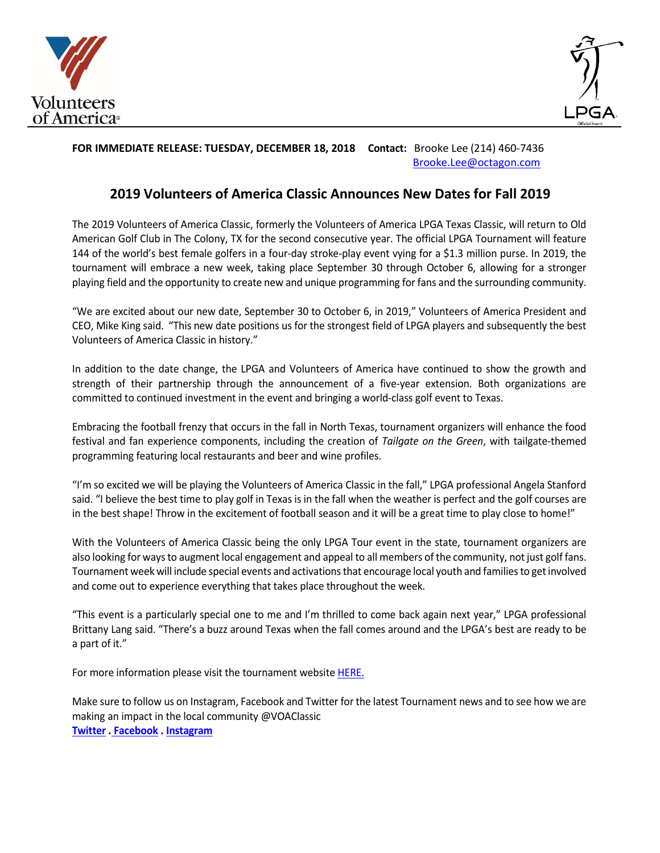



## **FOR IMMEDIATE RELEASE: TUESDAY, DECEMBER 18, 2018 Contact:** Brooke Lee (214) 460-7436 [Brooke.Lee@octagon.com](mailto:Brooke.Lee@octagon.com)

# **2019 Volunteers of America Classic Announces New Dates for Fall 2019**

The 2019 Volunteers of America Classic, formerly the Volunteers of America LPGA Texas Classic, will return to Old American Golf Club in The Colony, TX for the second consecutive year. The official LPGA Tournament will feature 144 of the world's best female golfers in a four-day stroke-play event vying for a \$1.3 million purse. In 2019, the tournament will embrace a new week, taking place September 30 through October 6, allowing for a stronger playing field and the opportunity to create new and unique programming for fans and the surrounding community.

"We are excited about our new date, September 30 to October 6, in 2019," Volunteers of America President and CEO, Mike King said. "This new date positions us for the strongest field of LPGA players and subsequently the best Volunteers of America Classic in history."

In addition to the date change, the LPGA and Volunteers of America have continued to show the growth and strength of their partnership through the announcement of a five-year extension. Both organizations are committed to continued investment in the event and bringing a world-class golf event to Texas.

Embracing the football frenzy that occurs in the fall in North Texas, tournament organizers will enhance the food festival and fan experience components, including the creation of *Tailgate on the Green*, with tailgate-themed programming featuring local restaurants and beer and wine profiles.

"I'm so excited we will be playing the Volunteers of America Classic in the fall," LPGA professional Angela Stanford said. "I believe the best time to play golf in Texas is in the fall when the weather is perfect and the golf courses are in the best shape! Throw in the excitement of football season and it will be a great time to play close to home!"

With the Volunteers of America Classic being the only LPGA Tour event in the state, tournament organizers are also looking for ways to augment local engagement and appeal to all members of the community, not just golf fans. Tournament week will include special events and activations that encourage local youth and families to get involved and come out to experience everything that takes place throughout the week.

"This event is a particularly special one to me and I'm thrilled to come back again next year," LPGA professional Brittany Lang said. "There's a buzz around Texas when the fall comes around and the LPGA's best are ready to be a part of it."

For more information please visit the tournament websit[e HERE.](https://www.voatexaslpga.com/)

Make sure to follow us on Instagram, Facebook and Twitter for the latest Tournament news and to see how we are making an impact in the local community @VOAClassic **[Twitter](https://twitter.com/VOAClassic) . [Facebook](https://www.facebook.com/VolunteersofAmericaClassic/) . [Instagram](https://www.instagram.com/voaclassic/)**